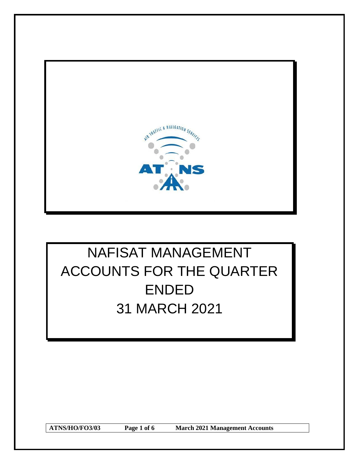

# NAFISAT MANAGEMENT ACCOUNTS FOR THE QUARTER ENDED 31 MARCH 2021

**ATNS/HO/FO3/03 Page 1 of 6 March 2021 Management Accounts**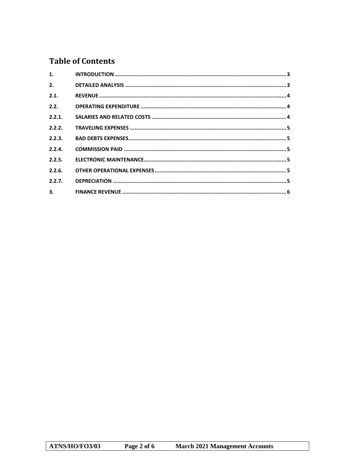# **Table of Contents**

| 1.     |  |
|--------|--|
| 2.     |  |
| 2.1.   |  |
| 2.2.   |  |
| 2.2.1. |  |
| 2.2.2. |  |
| 2.2.3. |  |
| 2.2.4. |  |
| 2.2.5. |  |
| 2.2.6. |  |
| 2.2.7. |  |
| 3.77   |  |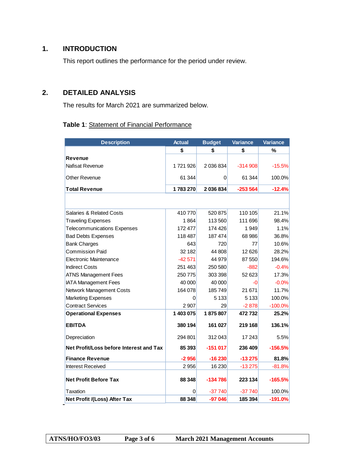# <span id="page-2-0"></span>**1. INTRODUCTION**

This report outlines the performance for the period under review.

# <span id="page-2-1"></span>**2. DETAILED ANALYSIS**

The results for March 2021 are summarized below.

#### **Table 1**: Statement of Financial Performance

| <b>Description</b>                      | <b>Actual</b> | <b>Budget</b> | Variance  | Variance  |
|-----------------------------------------|---------------|---------------|-----------|-----------|
|                                         | \$            | \$            | \$        | %         |
| <b>Revenue</b>                          |               |               |           |           |
| Nafisat Revenue                         | 1721926       | 2 036 834     | $-314908$ | $-15.5%$  |
| Other Revenue                           | 61 344        | 0             | 61 344    | 100.0%    |
| <b>Total Revenue</b>                    | 1783270       | 2 036 834     | $-253564$ | $-12.4%$  |
|                                         |               |               |           |           |
| <b>Salaries &amp; Related Costs</b>     | 410 770       | 520 875       | 110 105   | 21.1%     |
| <b>Traveling Expenses</b>               | 1864          | 113 560       | 111 696   | 98.4%     |
| <b>Telecommunications Expenses</b>      | 172 477       | 174 426       | 1 9 4 9   | 1.1%      |
| <b>Bad Debts Expenses</b>               | 118 487       | 187 474       | 68 986    | 36.8%     |
| <b>Bank Charges</b>                     | 643           | 720           | 77        | 10.6%     |
| <b>Commission Paid</b>                  | 32 182        | 44 808        | 12626     | 28.2%     |
| Electronic Maintenance                  | $-42571$      | 44 979        | 87 550    | 194.6%    |
| <b>Indirect Costs</b>                   | 251 463       | 250 580       | $-882$    | $-0.4%$   |
| <b>ATNS Management Fees</b>             | 250 775       | 303 398       | 52 623    | 17.3%     |
| <b>IATA Management Fees</b>             | 40 000        | 40 000        | -0        | $-0.0%$   |
| Network Management Costs                | 164 078       | 185749        | 21 671    | 11.7%     |
| <b>Marketing Expenses</b>               | 0             | 5 1 3 3       | 5 1 3 3   | 100.0%    |
| <b>Contract Services</b>                | 2 907         | 29            | $-2878$   | $-100.0%$ |
| <b>Operational Expenses</b>             | 1 403 075     | 1875807       | 472732    | 25.2%     |
| <b>EBITDA</b>                           | 380 194       | 161 027       | 219 168   | 136.1%    |
| Depreciation                            | 294 801       | 312043        | 17 243    | 5.5%      |
| Net Profit/Loss before Interest and Tax | 85 393        | $-151017$     | 236 409   | $-156.5%$ |
| <b>Finance Revenue</b>                  | $-2956$       | $-16230$      | $-13275$  | 81.8%     |
| <b>Interest Received</b>                | 2956          | 16 230        | $-13275$  | $-81.8%$  |
| <b>Net Profit Before Tax</b>            | 88 348        | $-134786$     | 223 134   | $-165.5%$ |
| Taxation                                | 0             | $-37740$      | $-37740$  | 100.0%    |
| Net Profit /(Loss) After Tax            | 88 348        | $-97046$      | 185 394   | $-191.0%$ |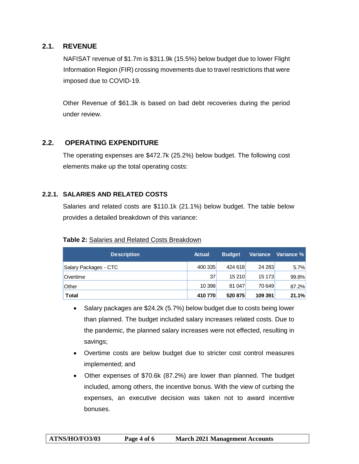#### <span id="page-3-0"></span>**2.1. REVENUE**

NAFISAT revenue of \$1.7m is \$311.9k (15.5%) below budget due to lower Flight Information Region (FIR) crossing movements due to travel restrictions that were imposed due to COVID-19.

Other Revenue of \$61.3k is based on bad debt recoveries during the period under review.

### **2.2. OPERATING EXPENDITURE**

<span id="page-3-1"></span>The operating expenses are \$472.7k (25.2%) below budget. The following cost elements make up the total operating costs:

#### <span id="page-3-2"></span>**2.2.1. SALARIES AND RELATED COSTS**

Salaries and related costs are \$110.1k (21.1%) below budget. The table below provides a detailed breakdown of this variance:

#### **Table 2:** Salaries and Related Costs Breakdown

| <b>Description</b>    | <b>Actual</b> | <b>Budget</b> | <b>Variance</b> | Variance % |
|-----------------------|---------------|---------------|-----------------|------------|
| Salary Packages - CTC | 400 335       | 424 618       | 24 283          | 5.7%       |
| Overtime              | 37            | 15 210        | 15 173          | 99.8%      |
| <b>Other</b>          | 10 398        | 81 047        | 70 649          | 87.2%      |
| <b>Total</b>          | 410770        | 520 875       | 109 391         | 21.1%      |

- Salary packages are \$24.2k (5.7%) below budget due to costs being lower than planned. The budget included salary increases related costs. Due to the pandemic, the planned salary increases were not effected, resulting in savings;
- Overtime costs are below budget due to stricter cost control measures implemented; and
- Other expenses of \$70.6k (87.2%) are lower than planned. The budget included, among others, the incentive bonus. With the view of curbing the expenses, an executive decision was taken not to award incentive bonuses.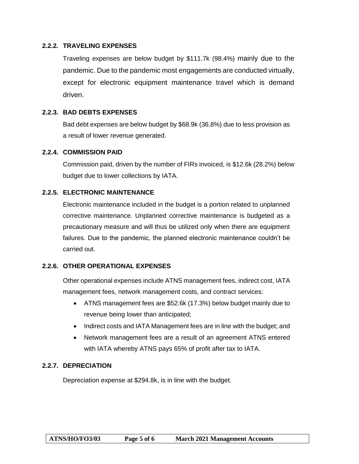#### <span id="page-4-0"></span>**2.2.2. TRAVELING EXPENSES**

Traveling expenses are below budget by \$111.7k (98.4%) mainly due to the pandemic. Due to the pandemic most engagements are conducted virtually, except for electronic equipment maintenance travel which is demand driven.

#### <span id="page-4-1"></span>**2.2.3. BAD DEBTS EXPENSES**

Bad debt expenses are below budget by \$68.9k (36.8%) due to less provision as a result of lower revenue generated.

#### <span id="page-4-2"></span>**2.2.4. COMMISSION PAID**

Commission paid, driven by the number of FIRs invoiced, is \$12.6k (28.2%) below budget due to lower collections by IATA.

#### <span id="page-4-3"></span>**2.2.5. ELECTRONIC MAINTENANCE**

Electronic maintenance included in the budget is a portion related to unplanned corrective maintenance. Unplanned corrective maintenance is budgeted as a precautionary measure and will thus be utilized only when there are equipment failures. Due to the pandemic, the planned electronic maintenance couldn't be carried out.

#### <span id="page-4-4"></span>**2.2.6. OTHER OPERATIONAL EXPENSES**

Other operational expenses include ATNS management fees, indirect cost, IATA management fees, network management costs, and contract services:

- ATNS management fees are \$52.6k (17.3%) below budget mainly due to revenue being lower than anticipated;
- Indirect costs and IATA Management fees are in line with the budget; and
- Network management fees are a result of an agreement ATNS entered with IATA whereby ATNS pays 65% of profit after tax to IATA.

#### <span id="page-4-5"></span>**2.2.7. DEPRECIATION**

Depreciation expense at \$294.8k, is in line with the budget.